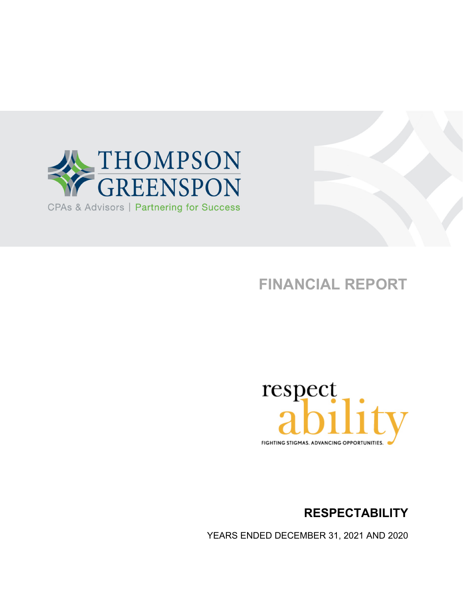



# **FINANCIAL REPORT**



# **RESPECTABILITY**

YEARS ENDED DECEMBER 31, 2021 AND 2020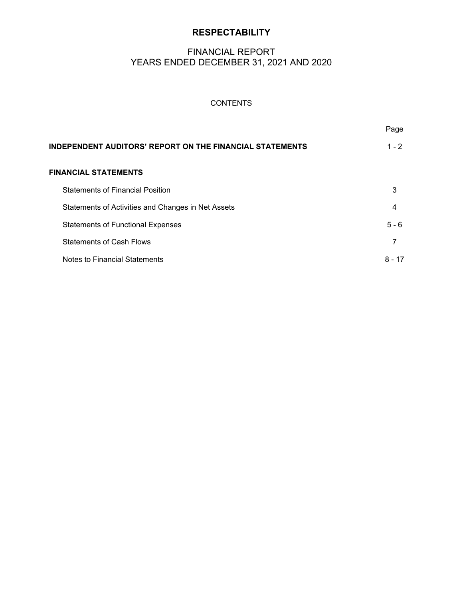# FINANCIAL REPORT YEARS ENDED DECEMBER 31, 2021 AND 2020

# CONTENTS

|                                                          | Pa <u>ge</u> |
|----------------------------------------------------------|--------------|
| INDEPENDENT AUDITORS' REPORT ON THE FINANCIAL STATEMENTS | $1 - 2$      |
| <b>FINANCIAL STATEMENTS</b>                              |              |
| <b>Statements of Financial Position</b>                  | 3            |
| Statements of Activities and Changes in Net Assets       | 4            |
| <b>Statements of Functional Expenses</b>                 | $5 - 6$      |
| <b>Statements of Cash Flows</b>                          | 7            |
| Notes to Financial Statements                            | $8 - 17$     |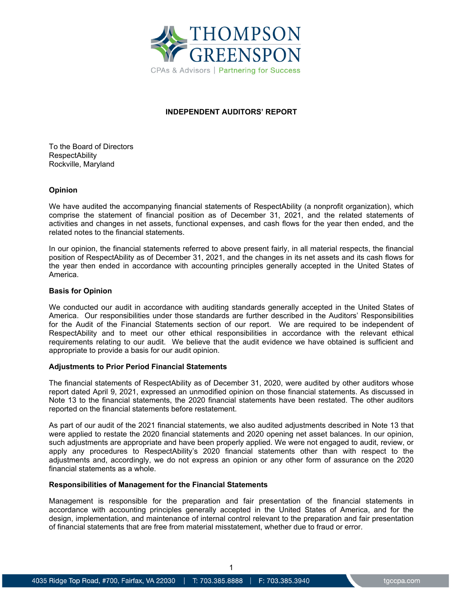

#### **INDEPENDENT AUDITORS' REPORT**

To the Board of Directors RespectAbility Rockville, Maryland

#### **Opinion**

We have audited the accompanying financial statements of RespectAbility (a nonprofit organization), which comprise the statement of financial position as of December 31, 2021, and the related statements of activities and changes in net assets, functional expenses, and cash flows for the year then ended, and the related notes to the financial statements.

In our opinion, the financial statements referred to above present fairly, in all material respects, the financial position of RespectAbility as of December 31, 2021, and the changes in its net assets and its cash flows for the year then ended in accordance with accounting principles generally accepted in the United States of America.

#### **Basis for Opinion**

We conducted our audit in accordance with auditing standards generally accepted in the United States of America. Our responsibilities under those standards are further described in the Auditors' Responsibilities for the Audit of the Financial Statements section of our report. We are required to be independent of RespectAbility and to meet our other ethical responsibilities in accordance with the relevant ethical requirements relating to our audit. We believe that the audit evidence we have obtained is sufficient and appropriate to provide a basis for our audit opinion.

#### **Adjustments to Prior Period Financial Statements**

The financial statements of RespectAbility as of December 31, 2020, were audited by other auditors whose report dated April 9, 2021, expressed an unmodified opinion on those financial statements. As discussed in Note 13 to the financial statements, the 2020 financial statements have been restated. The other auditors reported on the financial statements before restatement.

As part of our audit of the 2021 financial statements, we also audited adjustments described in Note 13 that were applied to restate the 2020 financial statements and 2020 opening net asset balances. In our opinion, such adjustments are appropriate and have been properly applied. We were not engaged to audit, review, or apply any procedures to RespectAbility's 2020 financial statements other than with respect to the adjustments and, accordingly, we do not express an opinion or any other form of assurance on the 2020 financial statements as a whole.

#### **Responsibilities of Management for the Financial Statements**

Management is responsible for the preparation and fair presentation of the financial statements in accordance with accounting principles generally accepted in the United States of America, and for the design, implementation, and maintenance of internal control relevant to the preparation and fair presentation of financial statements that are free from material misstatement, whether due to fraud or error.

1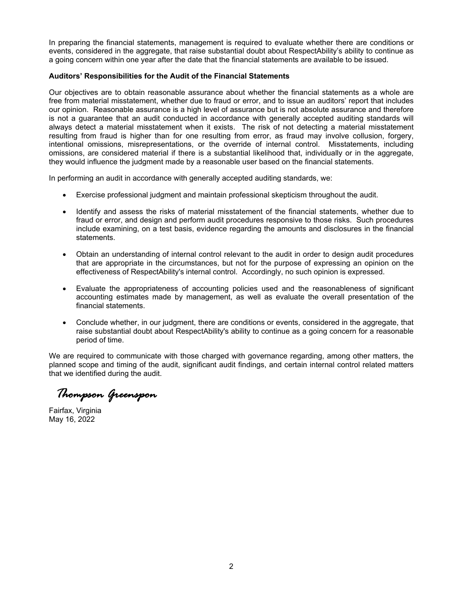In preparing the financial statements, management is required to evaluate whether there are conditions or events, considered in the aggregate, that raise substantial doubt about RespectAbility's ability to continue as a going concern within one year after the date that the financial statements are available to be issued.

#### **Auditors' Responsibilities for the Audit of the Financial Statements**

Our objectives are to obtain reasonable assurance about whether the financial statements as a whole are free from material misstatement, whether due to fraud or error, and to issue an auditors' report that includes our opinion. Reasonable assurance is a high level of assurance but is not absolute assurance and therefore is not a guarantee that an audit conducted in accordance with generally accepted auditing standards will always detect a material misstatement when it exists. The risk of not detecting a material misstatement resulting from fraud is higher than for one resulting from error, as fraud may involve collusion, forgery, intentional omissions, misrepresentations, or the override of internal control. Misstatements, including omissions, are considered material if there is a substantial likelihood that, individually or in the aggregate, they would influence the judgment made by a reasonable user based on the financial statements.

In performing an audit in accordance with generally accepted auditing standards, we:

- Exercise professional judgment and maintain professional skepticism throughout the audit.
- Identify and assess the risks of material misstatement of the financial statements, whether due to fraud or error, and design and perform audit procedures responsive to those risks. Such procedures include examining, on a test basis, evidence regarding the amounts and disclosures in the financial statements.
- Obtain an understanding of internal control relevant to the audit in order to design audit procedures that are appropriate in the circumstances, but not for the purpose of expressing an opinion on the effectiveness of RespectAbility's internal control. Accordingly, no such opinion is expressed.
- Evaluate the appropriateness of accounting policies used and the reasonableness of significant accounting estimates made by management, as well as evaluate the overall presentation of the financial statements.
- Conclude whether, in our judgment, there are conditions or events, considered in the aggregate, that raise substantial doubt about RespectAbility's ability to continue as a going concern for a reasonable period of time.

We are required to communicate with those charged with governance regarding, among other matters, the planned scope and timing of the audit, significant audit findings, and certain internal control related matters that we identified during the audit.

 *Thompson Greenspon* 

Fairfax, Virginia May 16, 2022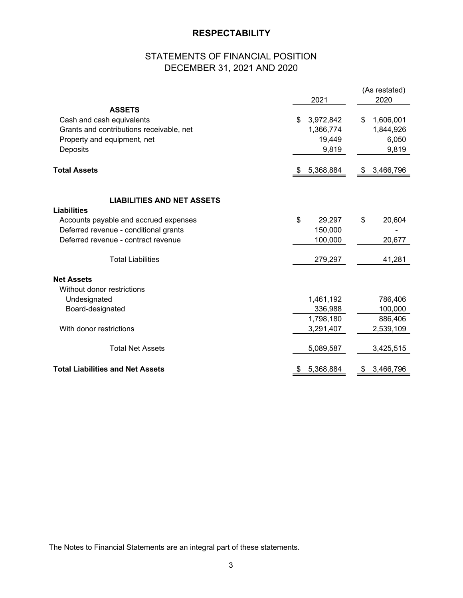# STATEMENTS OF FINANCIAL POSITION DECEMBER 31, 2021 AND 2020

|                                                         | 2021            | (As restated)<br>2020 |
|---------------------------------------------------------|-----------------|-----------------------|
| <b>ASSETS</b>                                           |                 |                       |
| Cash and cash equivalents                               | 3,972,842<br>\$ | \$<br>1,606,001       |
| Grants and contributions receivable, net                | 1,366,774       | 1,844,926             |
| Property and equipment, net                             | 19,449          | 6,050                 |
| Deposits                                                | 9,819           | 9,819                 |
| <b>Total Assets</b>                                     | 5,368,884<br>\$ | 3,466,796<br>\$       |
|                                                         |                 |                       |
| <b>LIABILITIES AND NET ASSETS</b><br><b>Liabilities</b> |                 |                       |
| Accounts payable and accrued expenses                   | \$<br>29,297    | \$<br>20,604          |
| Deferred revenue - conditional grants                   | 150,000         |                       |
| Deferred revenue - contract revenue                     | 100,000         | 20,677                |
| <b>Total Liabilities</b>                                | 279,297         | 41,281                |
| <b>Net Assets</b>                                       |                 |                       |
| Without donor restrictions                              |                 |                       |
| Undesignated                                            | 1,461,192       | 786,406               |
| Board-designated                                        | 336,988         | 100,000               |
|                                                         | 1,798,180       | 886,406               |
| With donor restrictions                                 | 3,291,407       | 2,539,109             |
| <b>Total Net Assets</b>                                 | 5,089,587       | 3,425,515             |
| <b>Total Liabilities and Net Assets</b>                 | 5,368,884<br>\$ | 3,466,796<br>S.       |

The Notes to Financial Statements are an integral part of these statements.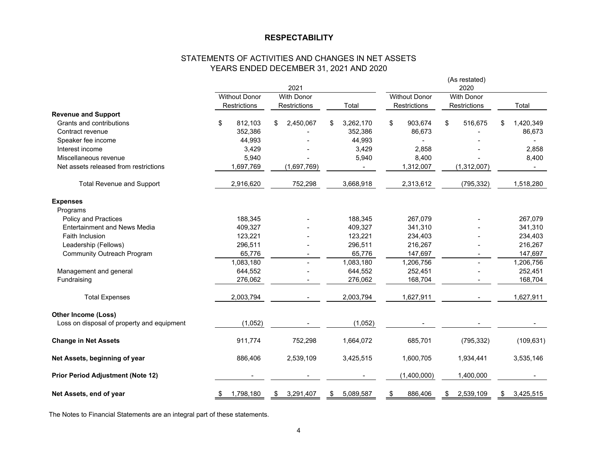#### STATEMENTS OF ACTIVITIES AND CHANGES IN NET ASSETS YEARS ENDED DECEMBER 31, 2021 AND 2020

|                                            |                      |    | 2021              |     |           |                      |              |                   | (As restated)<br>2020 |                 |
|--------------------------------------------|----------------------|----|-------------------|-----|-----------|----------------------|--------------|-------------------|-----------------------|-----------------|
|                                            | <b>Without Donor</b> |    | <b>With Donor</b> |     |           | <b>Without Donor</b> |              | <b>With Donor</b> |                       |                 |
|                                            | <b>Restrictions</b>  |    | Restrictions      |     | Total     |                      | Restrictions |                   | Restrictions          | Total           |
| <b>Revenue and Support</b>                 |                      |    |                   |     |           |                      |              |                   |                       |                 |
| Grants and contributions                   | \$<br>812,103        | \$ | 2,450,067         | \$. | 3,262,170 | \$                   | 903,674      | \$                | 516,675               | \$<br>1,420,349 |
| Contract revenue                           | 352,386              |    |                   |     | 352,386   |                      | 86,673       |                   |                       | 86,673          |
| Speaker fee income                         | 44,993               |    |                   |     | 44,993    |                      |              |                   |                       |                 |
| Interest income                            | 3,429                |    |                   |     | 3,429     |                      | 2,858        |                   |                       | 2,858           |
| Miscellaneous revenue                      | 5,940                |    |                   |     | 5,940     |                      | 8,400        |                   |                       | 8,400           |
| Net assets released from restrictions      | 1,697,769            |    | (1,697,769)       |     |           |                      | 1,312,007    |                   | (1,312,007)           |                 |
| <b>Total Revenue and Support</b>           | 2,916,620            |    | 752,298           |     | 3,668,918 |                      | 2,313,612    |                   | (795, 332)            | 1,518,280       |
| <b>Expenses</b>                            |                      |    |                   |     |           |                      |              |                   |                       |                 |
| Programs                                   |                      |    |                   |     |           |                      |              |                   |                       |                 |
| Policy and Practices                       | 188,345              |    |                   |     | 188,345   |                      | 267,079      |                   |                       | 267,079         |
| <b>Entertainment and News Media</b>        | 409,327              |    |                   |     | 409,327   |                      | 341,310      |                   |                       | 341,310         |
| Faith Inclusion                            | 123,221              |    |                   |     | 123,221   |                      | 234,403      |                   |                       | 234,403         |
| Leadership (Fellows)                       | 296,511              |    |                   |     | 296,511   |                      | 216,267      |                   |                       | 216,267         |
| <b>Community Outreach Program</b>          | 65,776               |    |                   |     | 65,776    |                      | 147,697      |                   |                       | 147,697         |
|                                            | 1,083,180            |    |                   |     | 1,083,180 |                      | 1,206,756    |                   |                       | 1,206,756       |
| Management and general                     | 644,552              |    |                   |     | 644,552   |                      | 252,451      |                   |                       | 252,451         |
| Fundraising                                | 276,062              |    |                   |     | 276,062   |                      | 168,704      |                   |                       | 168,704         |
| <b>Total Expenses</b>                      | 2,003,794            |    |                   |     | 2,003,794 |                      | 1,627,911    |                   |                       | 1,627,911       |
| <b>Other Income (Loss)</b>                 |                      |    |                   |     |           |                      |              |                   |                       |                 |
| Loss on disposal of property and equipment | (1,052)              |    |                   |     | (1,052)   |                      |              |                   |                       |                 |
| <b>Change in Net Assets</b>                | 911,774              |    | 752,298           |     | 1,664,072 |                      | 685,701      |                   | (795, 332)            | (109, 631)      |
| Net Assets, beginning of year              | 886,406              |    | 2,539,109         |     | 3,425,515 |                      | 1,600,705    |                   | 1,934,441             | 3,535,146       |
| <b>Prior Period Adjustment (Note 12)</b>   |                      |    |                   |     |           |                      | (1,400,000)  |                   | 1,400,000             |                 |
| Net Assets, end of year                    | \$<br>1,798,180      | \$ | 3,291,407         | \$  | 5,089,587 | \$                   | 886,406      | \$                | 2,539,109             | \$<br>3,425,515 |

The Notes to Financial Statements are an integral part of these statements.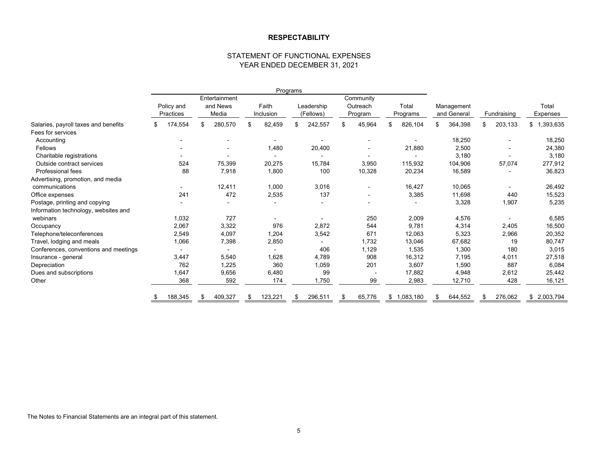#### STATEMENT OF FUNCTIONAL EXPENSESYEAR ENDED DECEMBER 31, 2021

|                                       | Programs                |                   |                    |                         |                     |                   |                           |                          |                   |
|---------------------------------------|-------------------------|-------------------|--------------------|-------------------------|---------------------|-------------------|---------------------------|--------------------------|-------------------|
|                                       |                         | Entertainment     |                    |                         | Community           |                   |                           |                          |                   |
|                                       | Policy and<br>Practices | and News<br>Media | Faith<br>Inclusion | Leadership<br>(Fellows) | Outreach<br>Program | Total<br>Programs | Management<br>and General | Fundraising              | Total<br>Expenses |
| Salaries, payroll taxes and benefits  | \$<br>174,554           | 280,570<br>\$     | 82,459<br>\$       | 242,557<br>\$.          | \$<br>45,964        | 826,104<br>\$     | 364,398<br>\$             | 203,133                  | 1,393,635<br>\$   |
| Fees for services                     |                         |                   |                    |                         |                     |                   |                           |                          |                   |
| Accounting                            |                         | $\blacksquare$    |                    |                         |                     |                   | 18,250                    | $\overline{\phantom{a}}$ | 18,250            |
| Fellows                               |                         |                   | 1,480              | 20,400                  |                     | 21,880            | 2,500                     |                          | 24,380            |
| Charitable registrations              |                         |                   |                    |                         |                     |                   | 3.180                     |                          | 3,180             |
| Outside contract services             | 524                     | 75,399            | 20,275             | 15,784                  | 3,950               | 115,932           | 104,906                   | 57,074                   | 277,912           |
| Professional fees                     | 88                      | 7,918             | 1,800              | 100                     | 10,328              | 20,234            | 16,589                    |                          | 36,823            |
| Advertising, promotion, and media     |                         |                   |                    |                         |                     |                   |                           |                          |                   |
| communications                        | $\sim$                  | 12,411            | 1,000              | 3,016                   |                     | 16,427            | 10,065                    | $\blacksquare$           | 26,492            |
| Office expenses                       | 241                     | 472               | 2,535              | 137                     |                     | 3,385             | 11,698                    | 440                      | 15,523            |
| Postage, printing and copying         |                         |                   |                    |                         |                     |                   | 3,328                     | 1,907                    | 5,235             |
| Information technology, websites and  |                         |                   |                    |                         |                     |                   |                           |                          |                   |
| webinars                              | 1,032                   | 727               |                    |                         | 250                 | 2,009             | 4,576                     |                          | 6,585             |
| Occupancy                             | 2,067                   | 3,322             | 976                | 2,872                   | 544                 | 9,781             | 4,314                     | 2,405                    | 16,500            |
| Telephone/teleconferences             | 2,549                   | 4,097             | 1,204              | 3,542                   | 671                 | 12,063            | 5,323                     | 2,966                    | 20,352            |
| Travel, lodging and meals             | 1,066                   | 7,398             | 2,850              |                         | 1.732               | 13,046            | 67,682                    | 19                       | 80,747            |
| Conferences, conventions and meetings |                         | $\blacksquare$    |                    | 406                     | 1,129               | 1,535             | 1,300                     | 180                      | 3,015             |
| Insurance - general                   | 3,447                   | 5,540             | 1,628              | 4,789                   | 908                 | 16,312            | 7,195                     | 4,011                    | 27,518            |
| Depreciation                          | 762                     | 1.225             | 360                | 1,059                   | 201                 | 3,607             | 1,590                     | 887                      | 6,084             |
| Dues and subscriptions                | 1,647                   | 9,656             | 6,480              | 99                      |                     | 17,882            | 4,948                     | 2,612                    | 25,442            |
| Other                                 | 368                     | 592               | 174                | 1,750                   | 99                  | 2,983             | 12,710                    | 428                      | 16,121            |
|                                       | S                       | \$.               | \$                 | S.                      | \$<br>65,776        | 1,083,180<br>\$   | \$                        | \$                       | \$2,003,794       |
|                                       | 188,345                 | 409,327           | 123,221            | 296,511                 |                     |                   | 644,552                   | 276,062                  |                   |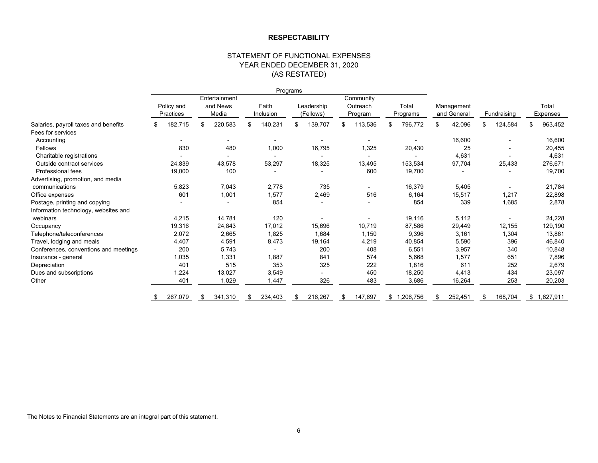#### STATEMENT OF FUNCTIONAL EXPENSESYEAR ENDED DECEMBER 31, 2020 (AS RESTATED)

|                                       | Programs                |                            |                    |                         |                     |                   |               |                                          |                |
|---------------------------------------|-------------------------|----------------------------|--------------------|-------------------------|---------------------|-------------------|---------------|------------------------------------------|----------------|
|                                       |                         | Entertainment<br>Community |                    |                         |                     |                   |               |                                          |                |
|                                       | Policy and<br>Practices | and News<br>Media          | Faith<br>Inclusion | Leadership<br>(Fellows) | Outreach<br>Program | Total<br>Programs |               | Management<br>and General<br>Fundraising |                |
| Salaries, payroll taxes and benefits  | 182,715                 | 220,583                    | 140,231<br>\$.     | 139,707<br>\$.          | 113,536<br>\$       | 796,772           | 42,096<br>\$  | 124,584                                  | 963,452<br>\$. |
| Fees for services                     |                         |                            |                    |                         |                     |                   |               |                                          |                |
| Accounting                            |                         |                            |                    |                         |                     |                   | 16,600        |                                          | 16,600         |
| Fellows                               | 830                     | 480                        | 1,000              | 16,795                  | 1,325               | 20,430            | 25            |                                          | 20,455         |
| Charitable registrations              |                         |                            |                    |                         |                     |                   | 4,631         |                                          | 4,631          |
| Outside contract services             | 24,839                  | 43,578                     | 53,297             | 18,325                  | 13,495              | 153,534           | 97,704        | 25,433                                   | 276,671        |
| Professional fees                     | 19,000                  | 100                        |                    |                         | 600                 | 19,700            |               |                                          | 19,700         |
| Advertising, promotion, and media     |                         |                            |                    |                         |                     |                   |               |                                          |                |
| communications                        | 5,823                   | 7,043                      | 2,778              | 735                     |                     | 16,379            | 5,405         |                                          | 21,784         |
| Office expenses                       | 601                     | 1,001                      | 1,577              | 2,469                   | 516                 | 6,164             | 15,517        | 1,217                                    | 22,898         |
| Postage, printing and copying         |                         |                            | 854                |                         |                     | 854               | 339           | 1,685                                    | 2,878          |
| Information technology, websites and  |                         |                            |                    |                         |                     |                   |               |                                          |                |
| webinars                              | 4,215                   | 14,781                     | 120                |                         |                     | 19,116            | 5,112         |                                          | 24,228         |
| Occupancy                             | 19,316                  | 24,843                     | 17,012             | 15,696                  | 10,719              | 87,586            | 29,449        | 12,155                                   | 129,190        |
| Telephone/teleconferences             | 2,072                   | 2,665                      | 1,825              | 1,684                   | 1,150               | 9,396             | 3,161         | 1,304                                    | 13,861         |
| Travel, lodging and meals             | 4,407                   | 4,591                      | 8,473              | 19,164                  | 4,219               | 40,854            | 5,590         | 396                                      | 46,840         |
| Conferences, conventions and meetings | 200                     | 5,743                      |                    | 200                     | 408                 | 6,551             | 3,957         | 340                                      | 10,848         |
| Insurance - general                   | 1,035                   | 1,331                      | 1,887              | 841                     | 574                 | 5,668             | 1,577         | 651                                      | 7,896          |
| Depreciation                          | 401                     | 515                        | 353                | 325                     | 222                 | 1,816             | 611           | 252                                      | 2,679          |
| Dues and subscriptions                | 1,224                   | 13,027                     | 3,549              |                         | 450                 | 18,250            | 4,413         | 434                                      | 23,097         |
| Other                                 | 401                     | 1,029                      | 1,447              | 326                     | 483                 | 3,686             | 16,264        | 253                                      | 20,203         |
|                                       | 267,079                 | 341,310                    | 234,403            | 216,267                 | 147,697<br>\$       | \$1,206,756       | 252,451<br>\$ | 168,704<br>\$                            | \$1,627,911    |

The Notes to Financial Statements are an integral part of this statement.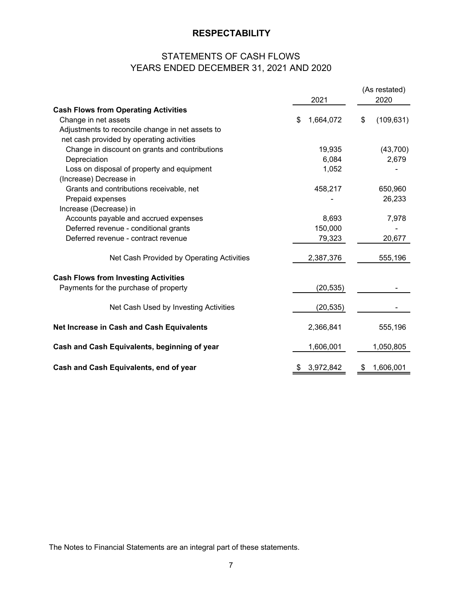# YEARS ENDED DECEMBER 31, 2021 AND 2020 STATEMENTS OF CASH FLOWS

|                                                  | 2021            | (As restated)<br>2020 |
|--------------------------------------------------|-----------------|-----------------------|
| <b>Cash Flows from Operating Activities</b>      |                 |                       |
| Change in net assets                             | 1,664,072<br>\$ | (109, 631)<br>\$      |
| Adjustments to reconcile change in net assets to |                 |                       |
| net cash provided by operating activities        |                 |                       |
| Change in discount on grants and contributions   | 19,935          | (43,700)              |
| Depreciation                                     | 6,084           | 2,679                 |
| Loss on disposal of property and equipment       | 1,052           |                       |
| (Increase) Decrease in                           |                 |                       |
| Grants and contributions receivable, net         | 458,217         | 650,960               |
| Prepaid expenses                                 |                 | 26,233                |
| Increase (Decrease) in                           |                 |                       |
| Accounts payable and accrued expenses            | 8,693           | 7,978                 |
| Deferred revenue - conditional grants            | 150,000         |                       |
| Deferred revenue - contract revenue              | 79,323          | 20,677                |
| Net Cash Provided by Operating Activities        | 2,387,376       | 555,196               |
| <b>Cash Flows from Investing Activities</b>      |                 |                       |
| Payments for the purchase of property            | (20, 535)       |                       |
| Net Cash Used by Investing Activities            | (20, 535)       |                       |
| Net Increase in Cash and Cash Equivalents        | 2,366,841       | 555,196               |
| Cash and Cash Equivalents, beginning of year     | 1,606,001       | 1,050,805             |
| Cash and Cash Equivalents, end of year           | 3,972,842<br>\$ | 1,606,001<br>\$       |

The Notes to Financial Statements are an integral part of these statements.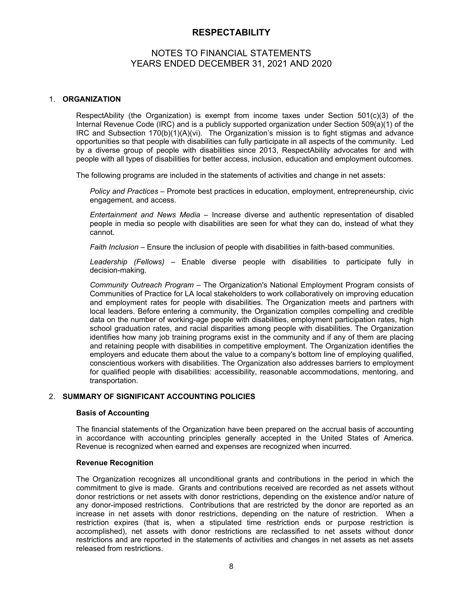# NOTES TO FINANCIAL STATEMENTS YEARS ENDED DECEMBER 31, 2021 AND 2020

#### 1. **ORGANIZATION**

RespectAbility (the Organization) is exempt from income taxes under Section 501(c)(3) of the Internal Revenue Code (IRC) and is a publicly supported organization under Section 509(a)(1) of the IRC and Subsection 170(b)(1)(A)(vi). The Organization's mission is to fight stigmas and advance opportunities so that people with disabilities can fully participate in all aspects of the community. Led by a diverse group of people with disabilities since 2013, RespectAbility advocates for and with people with all types of disabilities for better access, inclusion, education and employment outcomes.

The following programs are included in the statements of activities and change in net assets:

*Policy and Practices* – Promote best practices in education, employment, entrepreneurship, civic engagement, and access.

*Entertainment and News Media* – Increase diverse and authentic representation of disabled people in media so people with disabilities are seen for what they can do, instead of what they cannot.

*Faith Inclusion* – Ensure the inclusion of people with disabilities in faith-based communities.

*Leadership (Fellows)* – Enable diverse people with disabilities to participate fully in decision-making.

*Community Outreach Program* – The Organization's National Employment Program consists of Communities of Practice for LA local stakeholders to work collaboratively on improving education and employment rates for people with disabilities. The Organization meets and partners with local leaders. Before entering a community, the Organization compiles compelling and credible data on the number of working-age people with disabilities, employment participation rates, high school graduation rates, and racial disparities among people with disabilities. The Organization identifies how many job training programs exist in the community and if any of them are placing and retaining people with disabilities in competitive employment. The Organization identifies the employers and educate them about the value to a company's bottom line of employing qualified, conscientious workers with disabilities. The Organization also addresses barriers to employment for qualified people with disabilities: accessibility, reasonable accommodations, mentoring, and transportation.

#### 2. **SUMMARY OF SIGNIFICANT ACCOUNTING POLICIES**

#### **Basis of Accounting**

The financial statements of the Organization have been prepared on the accrual basis of accounting in accordance with accounting principles generally accepted in the United States of America. Revenue is recognized when earned and expenses are recognized when incurred.

#### **Revenue Recognition**

The Organization recognizes all unconditional grants and contributions in the period in which the commitment to give is made. Grants and contributions received are recorded as net assets without donor restrictions or net assets with donor restrictions, depending on the existence and/or nature of any donor-imposed restrictions. Contributions that are restricted by the donor are reported as an increase in net assets with donor restrictions, depending on the nature of restriction. When a restriction expires (that is, when a stipulated time restriction ends or purpose restriction is accomplished), net assets with donor restrictions are reclassified to net assets without donor restrictions and are reported in the statements of activities and changes in net assets as net assets released from restrictions.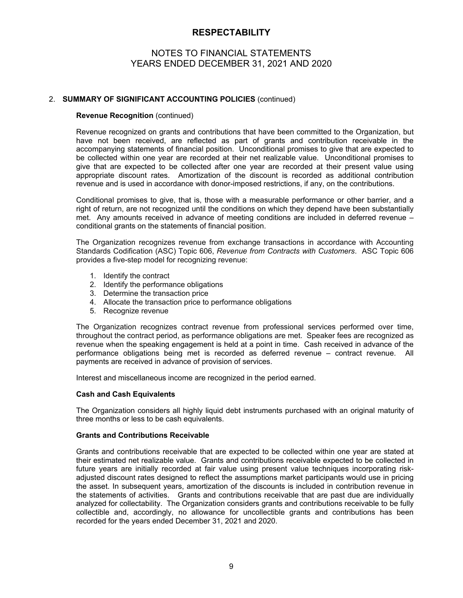# NOTES TO FINANCIAL STATEMENTS YEARS ENDED DECEMBER 31, 2021 AND 2020

#### 2. **SUMMARY OF SIGNIFICANT ACCOUNTING POLICIES** (continued)

#### **Revenue Recognition** (continued)

Revenue recognized on grants and contributions that have been committed to the Organization, but have not been received, are reflected as part of grants and contribution receivable in the accompanying statements of financial position. Unconditional promises to give that are expected to be collected within one year are recorded at their net realizable value. Unconditional promises to give that are expected to be collected after one year are recorded at their present value using appropriate discount rates. Amortization of the discount is recorded as additional contribution revenue and is used in accordance with donor-imposed restrictions, if any, on the contributions.

Conditional promises to give, that is, those with a measurable performance or other barrier, and a right of return, are not recognized until the conditions on which they depend have been substantially met. Any amounts received in advance of meeting conditions are included in deferred revenue – conditional grants on the statements of financial position.

The Organization recognizes revenue from exchange transactions in accordance with Accounting Standards Codification (ASC) Topic 606, *Revenue from Contracts with Customers*. ASC Topic 606 provides a five-step model for recognizing revenue:

- 1. Identify the contract
- 2. Identify the performance obligations
- 3. Determine the transaction price
- 4. Allocate the transaction price to performance obligations
- 5. Recognize revenue

The Organization recognizes contract revenue from professional services performed over time, throughout the contract period, as performance obligations are met. Speaker fees are recognized as revenue when the speaking engagement is held at a point in time. Cash received in advance of the performance obligations being met is recorded as deferred revenue – contract revenue. All payments are received in advance of provision of services.

Interest and miscellaneous income are recognized in the period earned.

#### **Cash and Cash Equivalents**

The Organization considers all highly liquid debt instruments purchased with an original maturity of three months or less to be cash equivalents.

#### **Grants and Contributions Receivable**

Grants and contributions receivable that are expected to be collected within one year are stated at their estimated net realizable value. Grants and contributions receivable expected to be collected in future years are initially recorded at fair value using present value techniques incorporating riskadjusted discount rates designed to reflect the assumptions market participants would use in pricing the asset. In subsequent years, amortization of the discounts is included in contribution revenue in the statements of activities. Grants and contributions receivable that are past due are individually analyzed for collectability. The Organization considers grants and contributions receivable to be fully collectible and, accordingly, no allowance for uncollectible grants and contributions has been recorded for the years ended December 31, 2021 and 2020.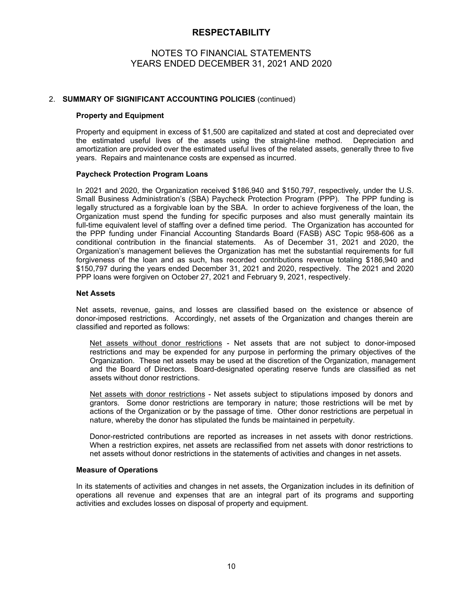# NOTES TO FINANCIAL STATEMENTS YEARS ENDED DECEMBER 31, 2021 AND 2020

#### 2. **SUMMARY OF SIGNIFICANT ACCOUNTING POLICIES** (continued)

#### **Property and Equipment**

Property and equipment in excess of \$1,500 are capitalized and stated at cost and depreciated over the estimated useful lives of the assets using the straight-line method. Depreciation and amortization are provided over the estimated useful lives of the related assets, generally three to five years. Repairs and maintenance costs are expensed as incurred.

#### **Paycheck Protection Program Loans**

In 2021 and 2020, the Organization received \$186,940 and \$150,797, respectively, under the U.S. Small Business Administration's (SBA) Paycheck Protection Program (PPP). The PPP funding is legally structured as a forgivable loan by the SBA. In order to achieve forgiveness of the loan, the Organization must spend the funding for specific purposes and also must generally maintain its full-time equivalent level of staffing over a defined time period. The Organization has accounted for the PPP funding under Financial Accounting Standards Board (FASB) ASC Topic 958-606 as a conditional contribution in the financial statements. As of December 31, 2021 and 2020, the Organization's management believes the Organization has met the substantial requirements for full forgiveness of the loan and as such, has recorded contributions revenue totaling \$186,940 and \$150,797 during the years ended December 31, 2021 and 2020, respectively. The 2021 and 2020 PPP loans were forgiven on October 27, 2021 and February 9, 2021, respectively.

#### **Net Assets**

Net assets, revenue, gains, and losses are classified based on the existence or absence of donor-imposed restrictions. Accordingly, net assets of the Organization and changes therein are classified and reported as follows:

Net assets without donor restrictions - Net assets that are not subject to donor-imposed restrictions and may be expended for any purpose in performing the primary objectives of the Organization. These net assets may be used at the discretion of the Organization, management and the Board of Directors. Board-designated operating reserve funds are classified as net assets without donor restrictions.

Net assets with donor restrictions - Net assets subject to stipulations imposed by donors and grantors. Some donor restrictions are temporary in nature; those restrictions will be met by actions of the Organization or by the passage of time. Other donor restrictions are perpetual in nature, whereby the donor has stipulated the funds be maintained in perpetuity.

Donor-restricted contributions are reported as increases in net assets with donor restrictions. When a restriction expires, net assets are reclassified from net assets with donor restrictions to net assets without donor restrictions in the statements of activities and changes in net assets.

#### **Measure of Operations**

In its statements of activities and changes in net assets, the Organization includes in its definition of operations all revenue and expenses that are an integral part of its programs and supporting activities and excludes losses on disposal of property and equipment.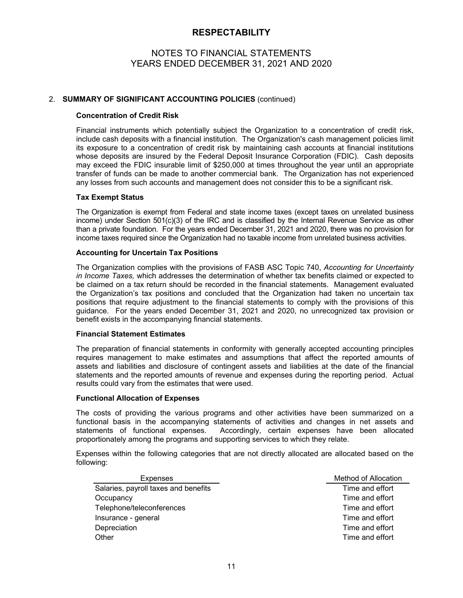# NOTES TO FINANCIAL STATEMENTS YEARS ENDED DECEMBER 31, 2021 AND 2020

#### 2. **SUMMARY OF SIGNIFICANT ACCOUNTING POLICIES** (continued)

#### **Concentration of Credit Risk**

Financial instruments which potentially subject the Organization to a concentration of credit risk, include cash deposits with a financial institution. The Organization's cash management policies limit its exposure to a concentration of credit risk by maintaining cash accounts at financial institutions whose deposits are insured by the Federal Deposit Insurance Corporation (FDIC). Cash deposits may exceed the FDIC insurable limit of \$250,000 at times throughout the year until an appropriate transfer of funds can be made to another commercial bank. The Organization has not experienced any losses from such accounts and management does not consider this to be a significant risk.

#### **Tax Exempt Status**

The Organization is exempt from Federal and state income taxes (except taxes on unrelated business income) under Section 501(c)(3) of the IRC and is classified by the Internal Revenue Service as other than a private foundation. For the years ended December 31, 2021 and 2020, there was no provision for income taxes required since the Organization had no taxable income from unrelated business activities.

#### **Accounting for Uncertain Tax Positions**

The Organization complies with the provisions of FASB ASC Topic 740, *Accounting for Uncertainty in Income Taxes,* which addresses the determination of whether tax benefits claimed or expected to be claimed on a tax return should be recorded in the financial statements. Management evaluated the Organization's tax positions and concluded that the Organization had taken no uncertain tax positions that require adjustment to the financial statements to comply with the provisions of this guidance. For the years ended December 31, 2021 and 2020, no unrecognized tax provision or benefit exists in the accompanying financial statements.

#### **Financial Statement Estimates**

The preparation of financial statements in conformity with generally accepted accounting principles requires management to make estimates and assumptions that affect the reported amounts of assets and liabilities and disclosure of contingent assets and liabilities at the date of the financial statements and the reported amounts of revenue and expenses during the reporting period. Actual results could vary from the estimates that were used.

#### **Functional Allocation of Expenses**

The costs of providing the various programs and other activities have been summarized on a functional basis in the accompanying statements of activities and changes in net assets and statements of functional expenses. Accordingly, certain expenses have been allocated proportionately among the programs and supporting services to which they relate.

Expenses within the following categories that are not directly allocated are allocated based on the following:

| <b>EXPEISES</b>                      |
|--------------------------------------|
| Salaries, payroll taxes and benefits |
| Occupancy                            |
| Telephone/teleconferences            |
| Insurance - general                  |
| Depreciation                         |
| Other                                |

Expenses **Expenses** Method of Allocation

Time and effort Time and effort Time and effort Time and effort Time and effort Time and effort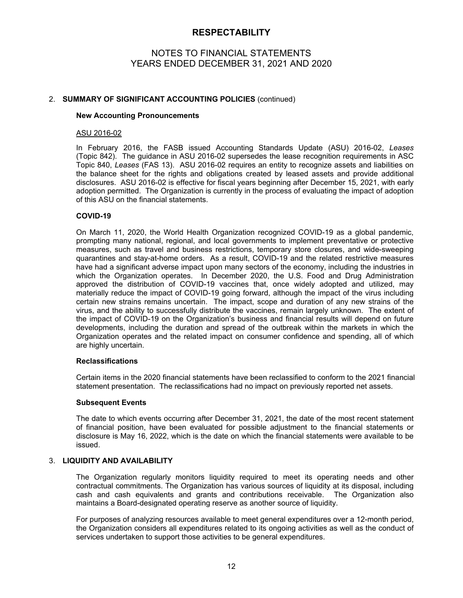# NOTES TO FINANCIAL STATEMENTS YEARS ENDED DECEMBER 31, 2021 AND 2020

#### 2. **SUMMARY OF SIGNIFICANT ACCOUNTING POLICIES** (continued)

#### **New Accounting Pronouncements**

#### ASU 2016-02

In February 2016, the FASB issued Accounting Standards Update (ASU) 2016-02, *Leases* (Topic 842). The guidance in ASU 2016-02 supersedes the lease recognition requirements in ASC Topic 840, *Leases* (FAS 13). ASU 2016-02 requires an entity to recognize assets and liabilities on the balance sheet for the rights and obligations created by leased assets and provide additional disclosures. ASU 2016-02 is effective for fiscal years beginning after December 15, 2021, with early adoption permitted. The Organization is currently in the process of evaluating the impact of adoption of this ASU on the financial statements.

#### **COVID-19**

On March 11, 2020, the World Health Organization recognized COVID-19 as a global pandemic, prompting many national, regional, and local governments to implement preventative or protective measures, such as travel and business restrictions, temporary store closures, and wide-sweeping quarantines and stay-at-home orders. As a result, COVID-19 and the related restrictive measures have had a significant adverse impact upon many sectors of the economy, including the industries in which the Organization operates. In December 2020, the U.S. Food and Drug Administration approved the distribution of COVID-19 vaccines that, once widely adopted and utilized, may materially reduce the impact of COVID-19 going forward, although the impact of the virus including certain new strains remains uncertain. The impact, scope and duration of any new strains of the virus, and the ability to successfully distribute the vaccines, remain largely unknown. The extent of the impact of COVID-19 on the Organization's business and financial results will depend on future developments, including the duration and spread of the outbreak within the markets in which the Organization operates and the related impact on consumer confidence and spending, all of which are highly uncertain.

#### **Reclassifications**

Certain items in the 2020 financial statements have been reclassified to conform to the 2021 financial statement presentation. The reclassifications had no impact on previously reported net assets.

#### **Subsequent Events**

The date to which events occurring after December 31, 2021, the date of the most recent statement of financial position, have been evaluated for possible adjustment to the financial statements or disclosure is May 16, 2022, which is the date on which the financial statements were available to be issued.

#### 3. **LIQUIDITY AND AVAILABILITY**

The Organization regularly monitors liquidity required to meet its operating needs and other contractual commitments. The Organization has various sources of liquidity at its disposal, including cash and cash equivalents and grants and contributions receivable. The Organization also maintains a Board-designated operating reserve as another source of liquidity.

For purposes of analyzing resources available to meet general expenditures over a 12-month period, the Organization considers all expenditures related to its ongoing activities as well as the conduct of services undertaken to support those activities to be general expenditures.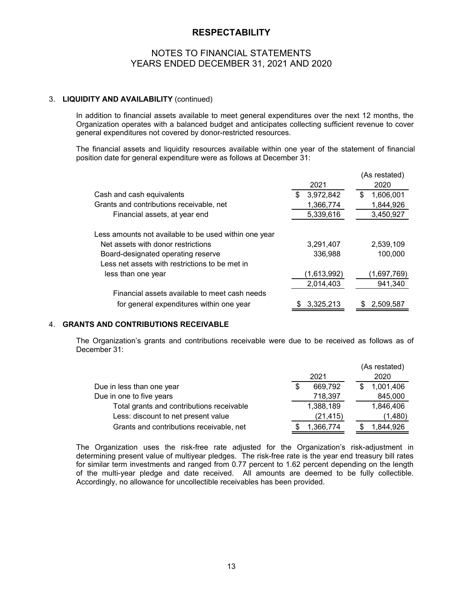# NOTES TO FINANCIAL STATEMENTS YEARS ENDED DECEMBER 31, 2021 AND 2020

#### 3. **LIQUIDITY AND AVAILABILITY** (continued)

In addition to financial assets available to meet general expenditures over the next 12 months, the Organization operates with a balanced budget and anticipates collecting sufficient revenue to cover general expenditures not covered by donor-restricted resources.

The financial assets and liquidity resources available within one year of the statement of financial position date for general expenditure were as follows at December 31:

|                                                       |                | (As restated)   |
|-------------------------------------------------------|----------------|-----------------|
|                                                       | 2021           | 2020            |
| Cash and cash equivalents                             | 3,972,842<br>S | 1,606,001<br>\$ |
| Grants and contributions receivable, net              | 1,366,774      | 1,844,926       |
| Financial assets, at year end                         | 5,339,616      | 3,450,927       |
| Less amounts not available to be used within one year |                |                 |
| Net assets with donor restrictions                    | 3,291,407      | 2,539,109       |
| Board-designated operating reserve                    | 336.988        | 100.000         |
| Less net assets with restrictions to be met in        |                |                 |
| less than one year                                    | (1,613,992)    | (1,697,769)     |
|                                                       | 2,014,403      | 941,340         |
| Financial assets available to meet cash needs         |                |                 |
| for general expenditures within one year              | 3,325,213      | 2,509,587       |

### 4. **GRANTS AND CONTRIBUTIONS RECEIVABLE**

The Organization's grants and contributions receivable were due to be received as follows as of December 31:

|                                           | (As restated) |           |      |           |  |
|-------------------------------------------|---------------|-----------|------|-----------|--|
|                                           |               | 2021      | 2020 |           |  |
| Due in less than one year                 | \$            | 669,792   | \$   | 1,001,406 |  |
| Due in one to five years                  |               | 718,397   |      | 845,000   |  |
| Total grants and contributions receivable |               | 1,388,189 |      | 1,846,406 |  |
| Less: discount to net present value       |               | (21, 415) |      | (1,480)   |  |
| Grants and contributions receivable, net  |               | 1.366.774 |      | .844.926  |  |

The Organization uses the risk-free rate adjusted for the Organization's risk-adjustment in determining present value of multiyear pledges. The risk-free rate is the year end treasury bill rates for similar term investments and ranged from 0.77 percent to 1.62 percent depending on the length of the multi-year pledge and date received. All amounts are deemed to be fully collectible. Accordingly, no allowance for uncollectible receivables has been provided.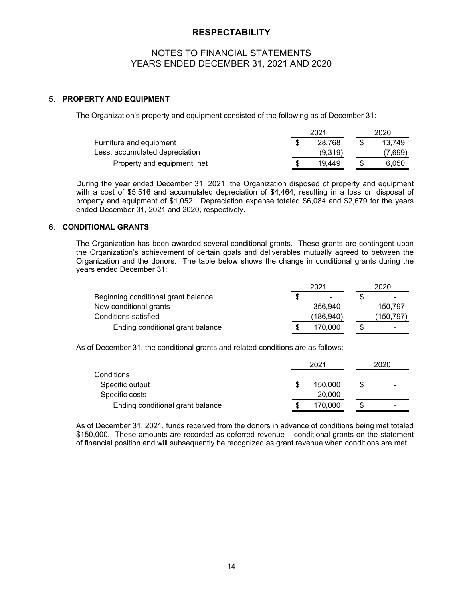# NOTES TO FINANCIAL STATEMENTS YEARS ENDED DECEMBER 31, 2021 AND 2020

#### 5. **PROPERTY AND EQUIPMENT**

The Organization's property and equipment consisted of the following as of December 31:

|                                | 2021 |         |  | 2020    |  |  |
|--------------------------------|------|---------|--|---------|--|--|
| Furniture and equipment        |      | 28.768  |  | 13.749  |  |  |
| Less: accumulated depreciation |      | (9,319) |  | (7,699) |  |  |
| Property and equipment, net    |      | 19.449  |  | 6.050   |  |  |

During the year ended December 31, 2021, the Organization disposed of property and equipment with a cost of \$5,516 and accumulated depreciation of \$4,464, resulting in a loss on disposal of property and equipment of \$1,052. Depreciation expense totaled \$6,084 and \$2,679 for the years ended December 31, 2021 and 2020, respectively.

#### 6. **CONDITIONAL GRANTS**

The Organization has been awarded several conditional grants. These grants are contingent upon the Organization's achievement of certain goals and deliverables mutually agreed to between the Organization and the donors. The table below shows the change in conditional grants during the years ended December 31:

|                                     | 2021      | 2020      |
|-------------------------------------|-----------|-----------|
| Beginning conditional grant balance | -         |           |
| New conditional grants              | 356.940   | 150.797   |
| Conditions satisfied                | (186.940) | (150.797) |
| Ending conditional grant balance    | 170.000   | -         |

As of December 31, the conditional grants and related conditions are as follows:

|                                  | 2021    | 2020 |
|----------------------------------|---------|------|
| Conditions                       |         |      |
| Specific output                  | 150,000 | -    |
| Specific costs                   | 20,000  | -    |
| Ending conditional grant balance | 170,000 | -    |

As of December 31, 2021, funds received from the donors in advance of conditions being met totaled \$150,000. These amounts are recorded as deferred revenue – conditional grants on the statement of financial position and will subsequently be recognized as grant revenue when conditions are met.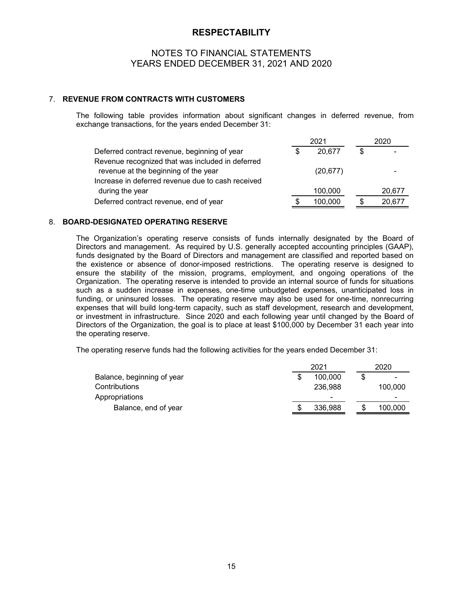# NOTES TO FINANCIAL STATEMENTS YEARS ENDED DECEMBER 31, 2021 AND 2020

#### 7. **REVENUE FROM CONTRACTS WITH CUSTOMERS**

The following table provides information about significant changes in deferred revenue, from exchange transactions, for the years ended December 31:

| 2021 |           |     | 2020   |  |
|------|-----------|-----|--------|--|
| \$   | 20,677    | S   |        |  |
|      |           |     |        |  |
|      | (20, 677) |     |        |  |
|      |           |     |        |  |
|      | 100,000   |     | 20,677 |  |
| \$.  | 100,000   | \$. | 20.677 |  |
|      |           |     |        |  |

### 8. **BOARD-DESIGNATED OPERATING RESERVE**

The Organization's operating reserve consists of funds internally designated by the Board of Directors and management. As required by U.S. generally accepted accounting principles (GAAP), funds designated by the Board of Directors and management are classified and reported based on the existence or absence of donor-imposed restrictions. The operating reserve is designed to ensure the stability of the mission, programs, employment, and ongoing operations of the Organization. The operating reserve is intended to provide an internal source of funds for situations such as a sudden increase in expenses, one-time unbudgeted expenses, unanticipated loss in funding, or uninsured losses. The operating reserve may also be used for one-time, nonrecurring expenses that will build long-term capacity, such as staff development, research and development, or investment in infrastructure. Since 2020 and each following year until changed by the Board of Directors of the Organization, the goal is to place at least \$100,000 by December 31 each year into the operating reserve.

The operating reserve funds had the following activities for the years ended December 31:

|                            | 2021 |         | 2020           |  |
|----------------------------|------|---------|----------------|--|
| Balance, beginning of year |      | 100,000 | $\blacksquare$ |  |
| Contributions              |      | 236.988 | 100,000        |  |
| Appropriations             |      | -       | -              |  |
| Balance, end of year       |      | 336,988 | 100,000        |  |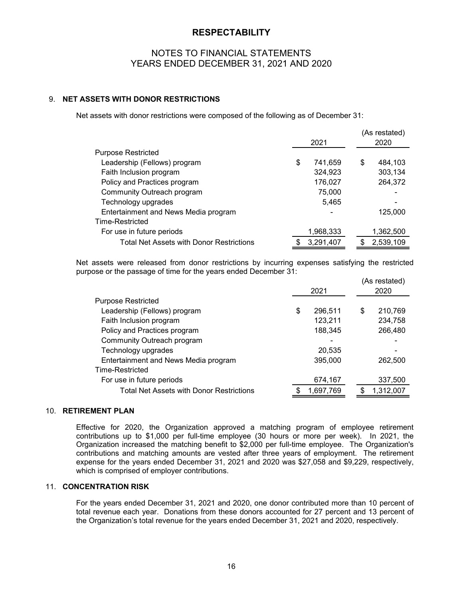# NOTES TO FINANCIAL STATEMENTS YEARS ENDED DECEMBER 31, 2021 AND 2020

### 9. **NET ASSETS WITH DONOR RESTRICTIONS**

Net assets with donor restrictions were composed of the following as of December 31:

|                                                 |               |    | (As restated) |  |
|-------------------------------------------------|---------------|----|---------------|--|
|                                                 | 2021          |    | 2020          |  |
| <b>Purpose Restricted</b>                       |               |    |               |  |
| Leadership (Fellows) program                    | \$<br>741,659 | \$ | 484,103       |  |
| Faith Inclusion program                         | 324,923       |    | 303,134       |  |
| Policy and Practices program                    | 176,027       |    | 264,372       |  |
| Community Outreach program                      | 75,000        |    |               |  |
| Technology upgrades                             | 5,465         |    |               |  |
| Entertainment and News Media program            |               |    | 125,000       |  |
| Time-Restricted                                 |               |    |               |  |
| For use in future periods                       | 1,968,333     |    | 1,362,500     |  |
| <b>Total Net Assets with Donor Restrictions</b> | 3,291,407     |    | 2,539,109     |  |

Net assets were released from donor restrictions by incurring expenses satisfying the restricted purpose or the passage of time for the years ended December 31:  $\lambda$  restated in the set of  $\lambda$ 

|                                                 | 2021 |           |   | (As restated)<br>2020 |  |
|-------------------------------------------------|------|-----------|---|-----------------------|--|
| <b>Purpose Restricted</b>                       |      |           |   |                       |  |
| Leadership (Fellows) program                    | \$   | 296,511   | S | 210,769               |  |
| Faith Inclusion program                         |      | 123,211   |   | 234,758               |  |
| Policy and Practices program                    |      | 188,345   |   | 266,480               |  |
| Community Outreach program                      |      |           |   |                       |  |
| Technology upgrades                             |      | 20,535    |   |                       |  |
| Entertainment and News Media program            |      | 395,000   |   | 262,500               |  |
| Time-Restricted                                 |      |           |   |                       |  |
| For use in future periods                       |      | 674,167   |   | 337,500               |  |
| <b>Total Net Assets with Donor Restrictions</b> |      | 1,697,769 |   | 1,312,007             |  |

#### 10. **RETIREMENT PLAN**

Effective for 2020, the Organization approved a matching program of employee retirement contributions up to \$1,000 per full-time employee (30 hours or more per week). In 2021, the Organization increased the matching benefit to \$2,000 per full-time employee. The Organization's contributions and matching amounts are vested after three years of employment. The retirement expense for the years ended December 31, 2021 and 2020 was \$27,058 and \$9,229, respectively, which is comprised of employer contributions.

#### 11. **CONCENTRATION RISK**

For the years ended December 31, 2021 and 2020, one donor contributed more than 10 percent of total revenue each year. Donations from these donors accounted for 27 percent and 13 percent of the Organization's total revenue for the years ended December 31, 2021 and 2020, respectively.